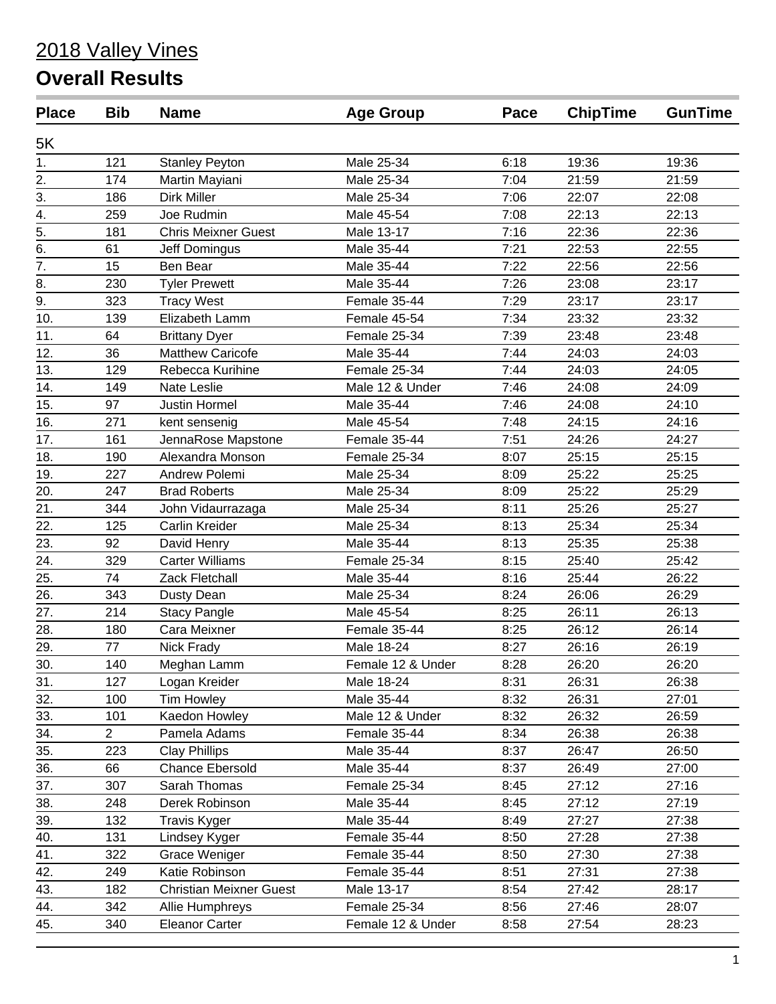# 2018 Valley Vines

# **Overall Results**

| <b>Place</b>     | <b>Bib</b>     | <b>Name</b>                    | <b>Age Group</b>  | Pace | <b>ChipTime</b> | <b>GunTime</b> |
|------------------|----------------|--------------------------------|-------------------|------|-----------------|----------------|
| 5K               |                |                                |                   |      |                 |                |
| 1.               | 121            | <b>Stanley Peyton</b>          | Male 25-34        | 6:18 | 19:36           | 19:36          |
| 2.               | 174            | Martin Mayiani                 | Male 25-34        | 7:04 | 21:59           | 21:59          |
| $\overline{3}$ . | 186            | Dirk Miller                    | Male 25-34        | 7:06 | 22:07           | 22:08          |
| 4.               | 259            | Joe Rudmin                     | Male 45-54        | 7:08 | 22:13           | 22:13          |
| $\overline{5}$ . | 181            | <b>Chris Meixner Guest</b>     | Male 13-17        | 7:16 | 22:36           | 22:36          |
| 6.               | 61             | Jeff Domingus                  | Male 35-44        | 7:21 | 22:53           | 22:55          |
| $\overline{7}$ . | 15             | Ben Bear                       | Male 35-44        | 7:22 | 22:56           | 22:56          |
| 8.               | 230            | <b>Tyler Prewett</b>           | Male 35-44        | 7:26 | 23:08           | 23:17          |
| 9.               | 323            | <b>Tracy West</b>              | Female 35-44      | 7:29 | 23:17           | 23:17          |
| 10.              | 139            | Elizabeth Lamm                 | Female 45-54      | 7:34 | 23:32           | 23:32          |
| 11.              | 64             | <b>Brittany Dyer</b>           | Female 25-34      | 7:39 | 23:48           | 23:48          |
| 12.              | 36             | <b>Matthew Caricofe</b>        | Male 35-44        | 7:44 | 24:03           | 24:03          |
| 13.              | 129            | Rebecca Kurihine               | Female 25-34      | 7:44 | 24:03           | 24:05          |
| 14.              | 149            | <b>Nate Leslie</b>             | Male 12 & Under   | 7:46 | 24:08           | 24:09          |
| 15.              | 97             | <b>Justin Hormel</b>           | Male 35-44        | 7:46 | 24:08           | 24:10          |
| 16.              | 271            | kent sensenig                  | Male 45-54        | 7:48 | 24:15           | 24:16          |
| 17.              | 161            | JennaRose Mapstone             | Female 35-44      | 7:51 | 24:26           | 24:27          |
| 18.              | 190            | Alexandra Monson               | Female 25-34      | 8:07 | 25:15           | 25:15          |
| 19.              | 227            | Andrew Polemi                  | Male 25-34        | 8:09 | 25:22           | 25:25          |
| 20.              | 247            | <b>Brad Roberts</b>            | Male 25-34        | 8:09 | 25:22           | 25:29          |
| 21.              | 344            | John Vidaurrazaga              | Male 25-34        | 8:11 | 25:26           | 25:27          |
| 22.              | 125            | Carlin Kreider                 | Male 25-34        | 8:13 | 25:34           | 25:34          |
| 23.              | 92             | David Henry                    | Male 35-44        | 8:13 | 25:35           | 25:38          |
| 24.              | 329            | <b>Carter Williams</b>         | Female 25-34      | 8:15 | 25:40           | 25:42          |
| 25.              | 74             | Zack Fletchall                 | Male 35-44        | 8:16 | 25:44           | 26:22          |
| 26.              | 343            | Dusty Dean                     | Male 25-34        | 8:24 | 26:06           | 26:29          |
| 27.              | 214            | <b>Stacy Pangle</b>            | Male 45-54        | 8:25 | 26:11           | 26:13          |
| 28.              | 180            | Cara Meixner                   | Female 35-44      | 8:25 | 26:12           | 26:14          |
| 29.              | 77             | Nick Frady                     | Male 18-24        | 8:27 | 26:16           | 26:19          |
| 30.              | 140            | Meghan Lamm                    | Female 12 & Under | 8:28 | 26:20           | 26:20          |
| 31.              | 127            | Logan Kreider                  | Male 18-24        | 8:31 | 26:31           | 26:38          |
| 32.              | 100            | <b>Tim Howley</b>              | Male 35-44        | 8:32 | 26:31           | 27:01          |
| 33.              | 101            | Kaedon Howley                  | Male 12 & Under   | 8:32 | 26:32           | 26:59          |
| 34.              | $\overline{2}$ | Pamela Adams                   | Female 35-44      | 8:34 | 26:38           | 26:38          |
| 35.              | 223            | <b>Clay Phillips</b>           | Male 35-44        | 8:37 | 26:47           | 26:50          |
| 36.              | 66             | Chance Ebersold                | Male 35-44        | 8:37 | 26:49           | 27:00          |
| 37.              | 307            | Sarah Thomas                   | Female 25-34      | 8:45 | 27:12           | 27:16          |
| 38.              | 248            | Derek Robinson                 | Male 35-44        | 8:45 | 27:12           | 27:19          |
| 39.              | 132            | <b>Travis Kyger</b>            | Male 35-44        | 8:49 | 27:27           | 27:38          |
| 40.              | 131            | Lindsey Kyger                  | Female 35-44      | 8:50 | 27:28           | 27:38          |
| 41.              | 322            | Grace Weniger                  | Female 35-44      | 8:50 | 27:30           | 27:38          |
| 42.              | 249            | Katie Robinson                 | Female 35-44      | 8:51 | 27:31           | 27:38          |
| 43.              | 182            | <b>Christian Meixner Guest</b> | Male 13-17        | 8:54 | 27:42           | 28:17          |
| 44.              | 342            | Allie Humphreys                | Female 25-34      | 8:56 | 27:46           | 28:07          |
| 45.              | 340            | <b>Eleanor Carter</b>          | Female 12 & Under | 8:58 | 27:54           | 28:23          |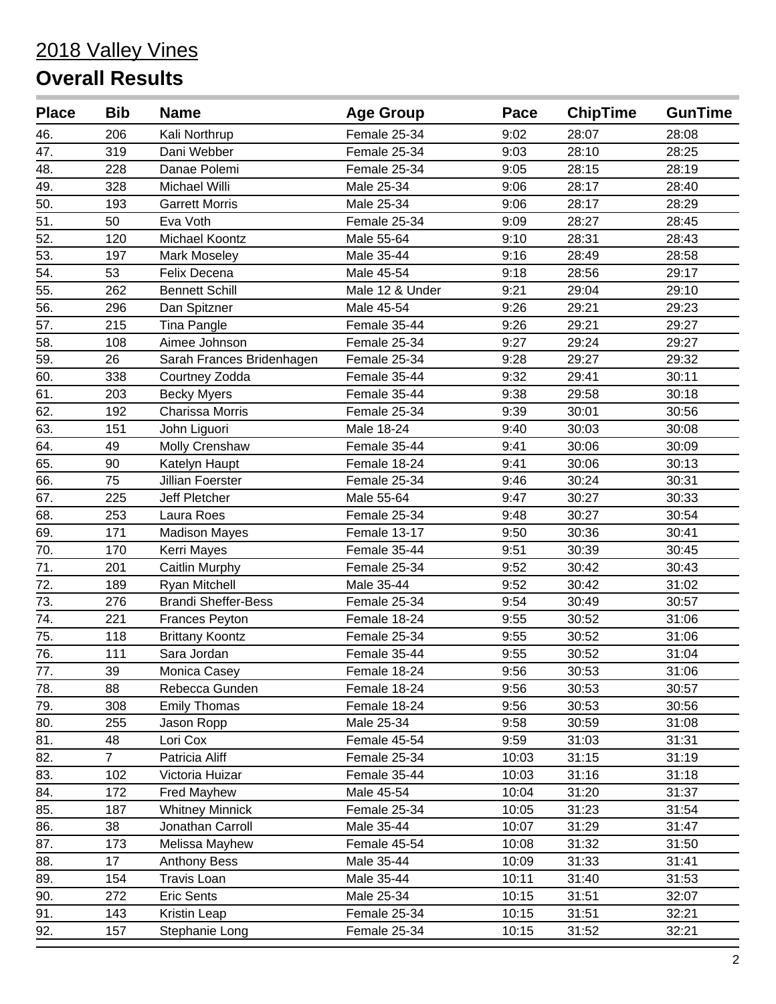| <b>Place</b>     | <b>Bib</b>     | <b>Name</b>                | <b>Age Group</b> | Pace  | <b>ChipTime</b> | <b>GunTime</b> |
|------------------|----------------|----------------------------|------------------|-------|-----------------|----------------|
| 46.              | 206            | Kali Northrup              | Female 25-34     | 9:02  | 28:07           | 28:08          |
| 47.              | 319            | Dani Webber                | Female 25-34     | 9:03  | 28:10           | 28:25          |
| 48.              | 228            | Danae Polemi               | Female 25-34     | 9:05  | 28:15           | 28:19          |
| 49.              | 328            | Michael Willi              | Male 25-34       | 9:06  | 28:17           | 28:40          |
| 50.              | 193            | <b>Garrett Morris</b>      | Male 25-34       | 9:06  | 28:17           | 28:29          |
| $\overline{51}$  | 50             | Eva Voth                   | Female 25-34     | 9:09  | 28:27           | 28:45          |
| 52.              | 120            | Michael Koontz             | Male 55-64       | 9:10  | 28:31           | 28:43          |
| 53.              | 197            | Mark Moseley               | Male 35-44       | 9:16  | 28:49           | 28:58          |
| 54.              | 53             | Felix Decena               | Male 45-54       | 9:18  | 28:56           | 29:17          |
| 55.              | 262            | <b>Bennett Schill</b>      | Male 12 & Under  | 9:21  | 29:04           | 29:10          |
| 56.              | 296            | Dan Spitzner               | Male 45-54       | 9:26  | 29:21           | 29:23          |
| 57.              | 215            | Tina Pangle                | Female 35-44     | 9:26  | 29:21           | 29:27          |
| 58.              | 108            | Aimee Johnson              | Female 25-34     | 9:27  | 29:24           | 29:27          |
| 59.              | 26             | Sarah Frances Bridenhagen  | Female 25-34     | 9:28  | 29:27           | 29:32          |
| 60.              | 338            | Courtney Zodda             | Female 35-44     | 9:32  | 29:41           | 30:11          |
| 61.              | 203            | <b>Becky Myers</b>         | Female 35-44     | 9:38  | 29:58           | 30:18          |
| 62.              | 192            | Charissa Morris            | Female 25-34     | 9:39  | 30:01           | 30:56          |
| 63.              | 151            | John Liguori               | Male 18-24       | 9:40  | 30:03           | 30:08          |
| 64.              | 49             | Molly Crenshaw             | Female 35-44     | 9:41  | 30:06           | 30:09          |
| 65.              | 90             | Katelyn Haupt              | Female 18-24     | 9:41  | 30:06           | 30:13          |
| 66.              | 75             | Jillian Foerster           | Female 25-34     | 9:46  | 30:24           | 30:31          |
| 67.              | 225            | Jeff Pletcher              | Male 55-64       | 9:47  | 30:27           | 30:33          |
| 68.              | 253            | Laura Roes                 | Female 25-34     | 9:48  | 30:27           | 30:54          |
| 69.              | 171            | <b>Madison Mayes</b>       | Female 13-17     | 9:50  | 30:36           | 30:41          |
| 70.              | 170            | Kerri Mayes                | Female 35-44     | 9:51  | 30:39           | 30:45          |
| 71.              | 201            | Caitlin Murphy             | Female 25-34     | 9:52  | 30:42           | 30:43          |
| 72.              | 189            | Ryan Mitchell              | Male 35-44       | 9:52  | 30:42           | 31:02          |
| 73.              | 276            | <b>Brandi Sheffer-Bess</b> | Female 25-34     | 9:54  | 30:49           | 30:57          |
| $\overline{74.}$ | 221            | Frances Peyton             | Female 18-24     | 9:55  | 30:52           | 31:06          |
| 75.              | 118            | <b>Brittany Koontz</b>     | Female 25-34     | 9:55  | 30:52           | 31:06          |
| 76.              | 111            | Sara Jordan                | Female 35-44     | 9:55  | 30:52           | 31:04          |
| 77.              | 39             | Monica Casey               | Female 18-24     | 9:56  | 30:53           | 31:06          |
| 78.              | 88             | Rebecca Gunden             | Female 18-24     | 9:56  | 30:53           | 30:57          |
| 79.              | 308            | <b>Emily Thomas</b>        | Female 18-24     | 9:56  | 30:53           | 30:56          |
| 80.              | 255            | Jason Ropp                 | Male 25-34       | 9:58  | 30:59           | 31:08          |
| 81.              | 48             | Lori Cox                   | Female 45-54     | 9:59  | 31:03           | 31:31          |
| 82.              | $\overline{7}$ | Patricia Aliff             | Female 25-34     | 10:03 | 31:15           | 31:19          |
| 83.              | 102            | Victoria Huizar            | Female 35-44     | 10:03 | 31:16           | 31:18          |
| 84.              | 172            | Fred Mayhew                | Male 45-54       | 10:04 | 31:20           | 31:37          |
| 85.              | 187            | <b>Whitney Minnick</b>     | Female 25-34     | 10:05 | 31:23           | 31:54          |
| 86.              | 38             | Jonathan Carroll           | Male 35-44       | 10:07 | 31:29           | 31:47          |
| 87.              | 173            | Melissa Mayhew             | Female 45-54     | 10:08 | 31:32           | 31:50          |
| 88.              | 17             | <b>Anthony Bess</b>        | Male 35-44       | 10:09 | 31:33           | 31:41          |
| 89.              | 154            | Travis Loan                | Male 35-44       | 10:11 | 31:40           | 31:53          |
| 90.              | 272            | Eric Sents                 | Male 25-34       | 10:15 | 31:51           | 32:07          |
| 91.              | 143            | Kristin Leap               | Female 25-34     | 10:15 | 31:51           | 32:21          |
| 92.              | 157            | Stephanie Long             | Female 25-34     | 10:15 | 31:52           | 32:21          |
|                  |                |                            |                  |       |                 |                |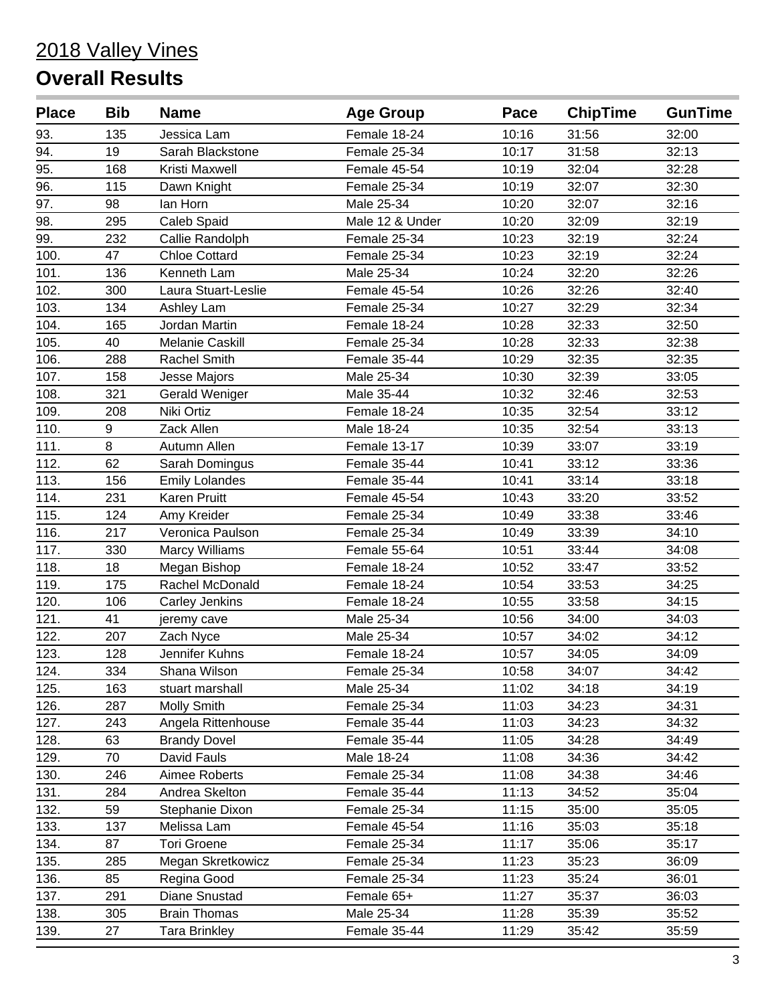| <b>Place</b> | <b>Bib</b> | <b>Name</b>           | <b>Age Group</b> | Pace  | <b>ChipTime</b> | <b>GunTime</b> |
|--------------|------------|-----------------------|------------------|-------|-----------------|----------------|
| 93.          | 135        | Jessica Lam           | Female 18-24     | 10:16 | 31:56           | 32:00          |
| 94.          | 19         | Sarah Blackstone      | Female 25-34     | 10:17 | 31:58           | 32:13          |
| 95.          | 168        | Kristi Maxwell        | Female 45-54     | 10:19 | 32:04           | 32:28          |
| 96.          | 115        | Dawn Knight           | Female 25-34     | 10:19 | 32:07           | 32:30          |
| 97.          | 98         | lan Horn              | Male 25-34       | 10:20 | 32:07           | 32:16          |
| 98.          | 295        | Caleb Spaid           | Male 12 & Under  | 10:20 | 32:09           | 32:19          |
| 99.          | 232        | Callie Randolph       | Female 25-34     | 10:23 | 32:19           | 32:24          |
| 100.         | 47         | <b>Chloe Cottard</b>  | Female 25-34     | 10:23 | 32:19           | 32:24          |
| 101.         | 136        | Kenneth Lam           | Male 25-34       | 10:24 | 32:20           | 32:26          |
| 102.         | 300        | Laura Stuart-Leslie   | Female 45-54     | 10:26 | 32:26           | 32:40          |
| 103.         | 134        | Ashley Lam            | Female 25-34     | 10:27 | 32:29           | 32:34          |
| 104.         | 165        | Jordan Martin         | Female 18-24     | 10:28 | 32:33           | 32:50          |
| 105.         | 40         | Melanie Caskill       | Female 25-34     | 10:28 | 32:33           | 32:38          |
| 106.         | 288        | <b>Rachel Smith</b>   | Female 35-44     | 10:29 | 32:35           | 32:35          |
| 107.         | 158        | <b>Jesse Majors</b>   | Male 25-34       | 10:30 | 32:39           | 33:05          |
| 108.         | 321        | Gerald Weniger        | Male 35-44       | 10:32 | 32:46           | 32:53          |
| 109.         | 208        | Niki Ortiz            | Female 18-24     | 10:35 | 32:54           | 33:12          |
| 110.         | 9          | Zack Allen            | Male 18-24       | 10:35 | 32:54           | 33:13          |
| 111.         | 8          | Autumn Allen          | Female 13-17     | 10:39 | 33:07           | 33:19          |
| 112.         | 62         | Sarah Domingus        | Female 35-44     | 10:41 | 33:12           | 33:36          |
| 113.         | 156        | <b>Emily Lolandes</b> | Female 35-44     | 10:41 | 33:14           | 33:18          |
| 114.         | 231        | <b>Karen Pruitt</b>   | Female 45-54     | 10:43 | 33:20           | 33:52          |
| 115.         | 124        | Amy Kreider           | Female 25-34     | 10:49 | 33:38           | 33:46          |
| 116.         | 217        | Veronica Paulson      | Female 25-34     | 10:49 | 33:39           | 34:10          |
| 117.         | 330        | <b>Marcy Williams</b> | Female 55-64     | 10:51 | 33:44           | 34:08          |
| 118.         | 18         | Megan Bishop          | Female 18-24     | 10:52 | 33:47           | 33:52          |
| 119.         | 175        | Rachel McDonald       | Female 18-24     | 10:54 | 33:53           | 34:25          |
| 120.         | 106        | Carley Jenkins        | Female 18-24     | 10:55 | 33:58           | 34:15          |
| 121.         | 41         | jeremy cave           | Male 25-34       | 10:56 | 34:00           | 34:03          |
| 122.         | 207        | Zach Nyce             | Male 25-34       | 10:57 | 34:02           | 34:12          |
| 123.         | 128        | Jennifer Kuhns        | Female 18-24     | 10:57 | 34:05           | 34:09          |
| 124.         | 334        | Shana Wilson          | Female 25-34     | 10:58 | 34:07           | 34:42          |
| 125.         | 163        | stuart marshall       | Male 25-34       | 11:02 | 34:18           | 34:19          |
| 126.         | 287        | <b>Molly Smith</b>    | Female 25-34     | 11:03 | 34:23           | 34:31          |
| 127.         | 243        | Angela Rittenhouse    | Female 35-44     | 11:03 | 34:23           | 34:32          |
| 128.         | 63         | <b>Brandy Dovel</b>   | Female 35-44     | 11:05 | 34:28           | 34:49          |
| 129.         | 70         | David Fauls           | Male 18-24       | 11:08 | 34:36           | 34:42          |
| 130.         | 246        | Aimee Roberts         | Female 25-34     | 11:08 | 34:38           | 34:46          |
| 131.         | 284        | Andrea Skelton        | Female 35-44     | 11:13 | 34:52           | 35:04          |
| 132.         | 59         | Stephanie Dixon       | Female 25-34     | 11:15 | 35:00           | 35:05          |
| 133.         | 137        | Melissa Lam           | Female 45-54     | 11:16 | 35:03           | 35:18          |
| 134.         | 87         | <b>Tori Groene</b>    | Female 25-34     | 11:17 | 35:06           | 35:17          |
| 135.         | 285        | Megan Skretkowicz     | Female 25-34     | 11:23 | 35:23           | 36:09          |
| 136.         | 85         | Regina Good           | Female 25-34     | 11:23 | 35:24           | 36:01          |
| 137.         | 291        | Diane Snustad         | Female 65+       | 11:27 | 35:37           | 36:03          |
| 138.         | 305        | <b>Brain Thomas</b>   | Male 25-34       | 11:28 | 35:39           | 35:52          |
| 139.         | 27         | <b>Tara Brinkley</b>  | Female 35-44     | 11:29 | 35:42           | 35:59          |
|              |            |                       |                  |       |                 |                |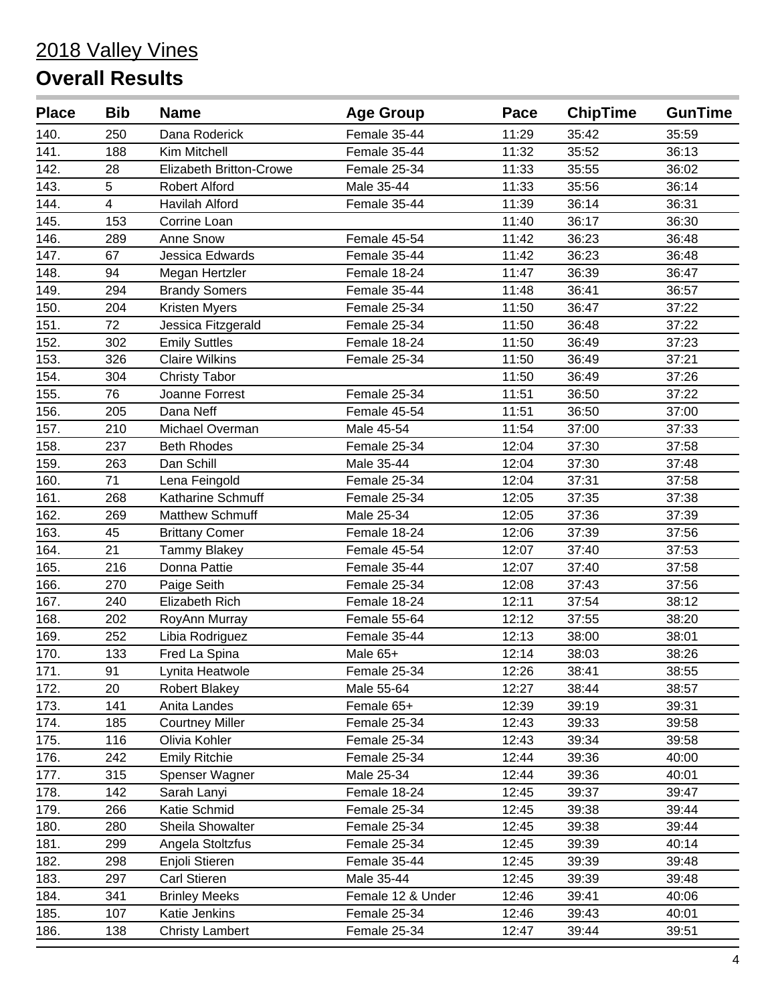| <b>Place</b> | <b>Bib</b> | <b>Name</b>                    | <b>Age Group</b>  | Pace  | <b>ChipTime</b> | <b>GunTime</b> |
|--------------|------------|--------------------------------|-------------------|-------|-----------------|----------------|
| 140.         | 250        | Dana Roderick                  | Female 35-44      | 11:29 | 35:42           | 35:59          |
| 141.         | 188        | Kim Mitchell                   | Female 35-44      | 11:32 | 35:52           | 36:13          |
| 142.         | 28         | <b>Elizabeth Britton-Crowe</b> | Female 25-34      | 11:33 | 35:55           | 36:02          |
| 143.         | 5          | <b>Robert Alford</b>           | Male 35-44        | 11:33 | 35:56           | 36:14          |
| 144.         | 4          | Havilah Alford                 | Female 35-44      | 11:39 | 36:14           | 36:31          |
| 145.         | 153        | Corrine Loan                   |                   | 11:40 | 36:17           | 36:30          |
| 146.         | 289        | Anne Snow                      | Female 45-54      | 11:42 | 36:23           | 36:48          |
| 147.         | 67         | Jessica Edwards                | Female 35-44      | 11:42 | 36:23           | 36:48          |
| 148.         | 94         | Megan Hertzler                 | Female 18-24      | 11:47 | 36:39           | 36:47          |
| 149.         | 294        | <b>Brandy Somers</b>           | Female 35-44      | 11:48 | 36:41           | 36:57          |
| 150.         | 204        | Kristen Myers                  | Female 25-34      | 11:50 | 36:47           | 37:22          |
| 151.         | 72         | Jessica Fitzgerald             | Female 25-34      | 11:50 | 36:48           | 37:22          |
| 152.         | 302        | <b>Emily Suttles</b>           | Female 18-24      | 11:50 | 36:49           | 37:23          |
| 153.         | 326        | <b>Claire Wilkins</b>          | Female 25-34      | 11:50 | 36:49           | 37:21          |
| 154.         | 304        | <b>Christy Tabor</b>           |                   | 11:50 | 36:49           | 37:26          |
| 155.         | 76         | Joanne Forrest                 | Female 25-34      | 11:51 | 36:50           | 37:22          |
| 156.         | 205        | Dana Neff                      | Female 45-54      | 11:51 | 36:50           | 37:00          |
| 157.         | 210        | Michael Overman                | Male 45-54        | 11:54 | 37:00           | 37:33          |
| 158.         | 237        | <b>Beth Rhodes</b>             | Female 25-34      | 12:04 | 37:30           | 37:58          |
| 159.         | 263        | Dan Schill                     | Male 35-44        | 12:04 | 37:30           | 37:48          |
| 160.         | 71         | Lena Feingold                  | Female 25-34      | 12:04 | 37:31           | 37:58          |
| 161.         | 268        | Katharine Schmuff              | Female 25-34      | 12:05 | 37:35           | 37:38          |
| 162.         | 269        | <b>Matthew Schmuff</b>         | Male 25-34        | 12:05 | 37:36           | 37:39          |
| 163.         | 45         | <b>Brittany Comer</b>          | Female 18-24      | 12:06 | 37:39           | 37:56          |
| 164.         | 21         | <b>Tammy Blakey</b>            | Female 45-54      | 12:07 | 37:40           | 37:53          |
| 165.         | 216        | Donna Pattie                   | Female 35-44      | 12:07 | 37:40           | 37:58          |
| 166.         | 270        | Paige Seith                    | Female 25-34      | 12:08 | 37:43           | 37:56          |
| 167.         | 240        | Elizabeth Rich                 | Female 18-24      | 12:11 | 37:54           | 38:12          |
| 168.         | 202        | RoyAnn Murray                  | Female 55-64      | 12:12 | 37:55           | 38:20          |
| 169.         | 252        | Libia Rodriguez                | Female 35-44      | 12:13 | 38:00           | 38:01          |
| 170.         | 133        | Fred La Spina                  | Male 65+          | 12:14 | 38:03           | 38:26          |
| 171.         | 91         | Lynita Heatwole                | Female 25-34      | 12:26 | 38:41           | 38:55          |
| 172.         | 20         | <b>Robert Blakey</b>           | Male 55-64        | 12:27 | 38:44           | 38:57          |
| 173.         | 141        | Anita Landes                   | Female 65+        | 12:39 | 39:19           | 39:31          |
| 174.         | 185        | <b>Courtney Miller</b>         | Female 25-34      | 12:43 | 39:33           | 39:58          |
| 175.         | 116        | Olivia Kohler                  | Female 25-34      | 12:43 | 39:34           | 39:58          |
| 176.         | 242        | <b>Emily Ritchie</b>           | Female 25-34      | 12:44 | 39:36           | 40:00          |
| 177.         | 315        | Spenser Wagner                 | Male 25-34        | 12:44 | 39:36           | 40:01          |
| 178.         | 142        | Sarah Lanyi                    | Female 18-24      | 12:45 | 39:37           | 39:47          |
| 179.         | 266        | Katie Schmid                   | Female 25-34      | 12:45 | 39:38           | 39:44          |
| 180.         | 280        | Sheila Showalter               | Female 25-34      | 12:45 | 39:38           | 39:44          |
| 181.         | 299        | Angela Stoltzfus               | Female 25-34      | 12:45 | 39:39           | 40:14          |
| 182.         | 298        | Enjoli Stieren                 | Female 35-44      | 12:45 | 39:39           | 39:48          |
| 183.         | 297        | Carl Stieren                   | Male 35-44        | 12:45 | 39:39           | 39:48          |
| 184.         | 341        | <b>Brinley Meeks</b>           | Female 12 & Under | 12:46 | 39:41           | 40:06          |
| 185.         | 107        | Katie Jenkins                  | Female 25-34      | 12:46 | 39:43           | 40:01          |
| 186.         | 138        | <b>Christy Lambert</b>         | Female 25-34      | 12:47 | 39:44           | 39:51          |
|              |            |                                |                   |       |                 |                |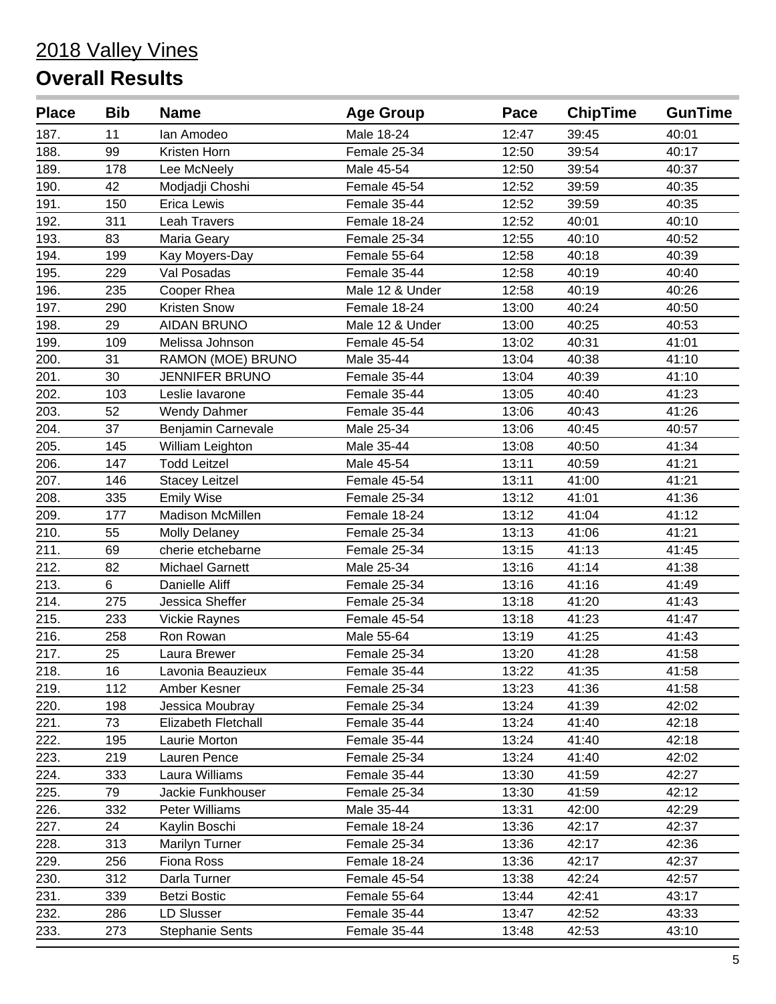| <b>Place</b> | <b>Bib</b> | <b>Name</b>            | <b>Age Group</b> | Pace  | <b>ChipTime</b> | <b>GunTime</b> |
|--------------|------------|------------------------|------------------|-------|-----------------|----------------|
| 187.         | 11         | lan Amodeo             | Male 18-24       | 12:47 | 39:45           | 40:01          |
| 188.         | 99         | Kristen Horn           | Female 25-34     | 12:50 | 39:54           | 40:17          |
| 189.         | 178        | Lee McNeely            | Male 45-54       | 12:50 | 39:54           | 40:37          |
| 190.         | 42         | Modjadji Choshi        | Female 45-54     | 12:52 | 39:59           | 40:35          |
| 191.         | 150        | Erica Lewis            | Female 35-44     | 12:52 | 39:59           | 40:35          |
| 192.         | 311        | <b>Leah Travers</b>    | Female 18-24     | 12:52 | 40:01           | 40:10          |
| 193.         | 83         | Maria Geary            | Female 25-34     | 12:55 | 40:10           | 40:52          |
| 194.         | 199        | Kay Moyers-Day         | Female 55-64     | 12:58 | 40:18           | 40:39          |
| 195.         | 229        | Val Posadas            | Female 35-44     | 12:58 | 40:19           | 40:40          |
| 196.         | 235        | Cooper Rhea            | Male 12 & Under  | 12:58 | 40:19           | 40:26          |
| 197.         | 290        | Kristen Snow           | Female 18-24     | 13:00 | 40:24           | 40:50          |
| 198.         | 29         | <b>AIDAN BRUNO</b>     | Male 12 & Under  | 13:00 | 40:25           | 40:53          |
| 199.         | 109        | Melissa Johnson        | Female 45-54     | 13:02 | 40:31           | 41:01          |
| 200.         | 31         | RAMON (MOE) BRUNO      | Male 35-44       | 13:04 | 40:38           | 41:10          |
| 201.         | 30         | <b>JENNIFER BRUNO</b>  | Female 35-44     | 13:04 | 40:39           | 41:10          |
| 202.         | 103        | Leslie lavarone        | Female 35-44     | 13:05 | 40:40           | 41:23          |
| 203.         | 52         | <b>Wendy Dahmer</b>    | Female 35-44     | 13:06 | 40:43           | 41:26          |
| 204.         | 37         | Benjamin Carnevale     | Male 25-34       | 13:06 | 40:45           | 40:57          |
| 205.         | 145        | William Leighton       | Male 35-44       | 13:08 | 40:50           | 41:34          |
| 206.         | 147        | <b>Todd Leitzel</b>    | Male 45-54       | 13:11 | 40:59           | 41:21          |
| 207.         | 146        | <b>Stacey Leitzel</b>  | Female 45-54     | 13:11 | 41:00           | 41:21          |
| 208.         | 335        | <b>Emily Wise</b>      | Female 25-34     | 13:12 | 41:01           | 41:36          |
| 209.         | 177        | Madison McMillen       | Female 18-24     | 13:12 | 41:04           | 41:12          |
| 210.         | 55         | <b>Molly Delaney</b>   | Female 25-34     | 13:13 | 41:06           | 41:21          |
| 211.         | 69         | cherie etchebarne      | Female 25-34     | 13:15 | 41:13           | 41:45          |
| 212.         | 82         | <b>Michael Garnett</b> | Male 25-34       | 13:16 | 41:14           | 41:38          |
| 213.         | 6          | Danielle Aliff         | Female 25-34     | 13:16 | 41:16           | 41:49          |
| 214.         | 275        | Jessica Sheffer        | Female 25-34     | 13:18 | 41:20           | 41:43          |
| 215.         | 233        | <b>Vickie Raynes</b>   | Female 45-54     | 13:18 | 41:23           | 41:47          |
| 216.         | 258        | Ron Rowan              | Male 55-64       | 13:19 | 41:25           | 41:43          |
| 217.         | 25         | Laura Brewer           | Female 25-34     | 13:20 | 41:28           | 41:58          |
| 218.         | 16         | Lavonia Beauzieux      | Female 35-44     | 13:22 | 41:35           | 41:58          |
| 219.         | 112        | Amber Kesner           | Female 25-34     | 13:23 | 41:36           | 41:58          |
| 220.         | 198        | Jessica Moubray        | Female 25-34     | 13:24 | 41:39           | 42:02          |
| 221.         | 73         | Elizabeth Fletchall    | Female 35-44     | 13:24 | 41:40           | 42:18          |
| 222.         | 195        | Laurie Morton          | Female 35-44     | 13:24 | 41:40           | 42:18          |
| 223.         | 219        | Lauren Pence           | Female 25-34     | 13:24 | 41:40           | 42:02          |
| 224.         | 333        | Laura Williams         | Female 35-44     | 13:30 | 41:59           | 42:27          |
| 225.         | 79         | Jackie Funkhouser      | Female 25-34     | 13:30 | 41:59           | 42:12          |
| 226.         | 332        | Peter Williams         | Male 35-44       | 13:31 | 42:00           | 42:29          |
| 227.         | 24         | Kaylin Boschi          | Female 18-24     | 13:36 | 42:17           | 42:37          |
| 228.         | 313        | Marilyn Turner         | Female 25-34     | 13:36 | 42:17           | 42:36          |
| 229.         | 256        | Fiona Ross             | Female 18-24     | 13:36 | 42:17           | 42:37          |
| 230.         | 312        | Darla Turner           | Female 45-54     | 13:38 | 42:24           | 42:57          |
| 231.         | 339        | <b>Betzi Bostic</b>    | Female 55-64     | 13:44 | 42:41           | 43:17          |
| 232.         | 286        | LD Slusser             | Female 35-44     | 13:47 | 42:52           | 43:33          |
| 233.         | 273        | <b>Stephanie Sents</b> | Female 35-44     | 13:48 | 42:53           | 43:10          |
|              |            |                        |                  |       |                 |                |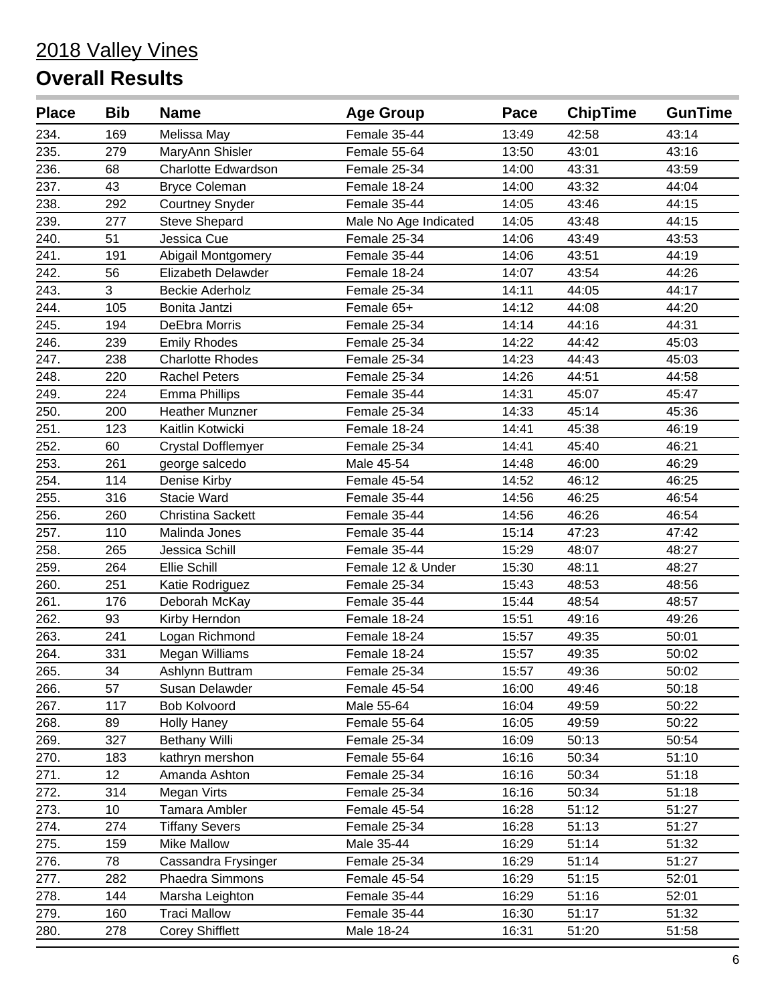| <b>Place</b> | <b>Bib</b> | <b>Name</b>                | <b>Age Group</b>      | Pace  | <b>ChipTime</b> | <b>GunTime</b> |
|--------------|------------|----------------------------|-----------------------|-------|-----------------|----------------|
| 234.         | 169        | Melissa May                | Female 35-44          | 13:49 | 42:58           | 43:14          |
| 235.         | 279        | MaryAnn Shisler            | Female 55-64          | 13:50 | 43:01           | 43:16          |
| 236.         | 68         | <b>Charlotte Edwardson</b> | Female 25-34          | 14:00 | 43:31           | 43:59          |
| 237.         | 43         | <b>Bryce Coleman</b>       | Female 18-24          | 14:00 | 43:32           | 44:04          |
| 238.         | 292        | <b>Courtney Snyder</b>     | Female 35-44          | 14:05 | 43:46           | 44:15          |
| 239.         | 277        | <b>Steve Shepard</b>       | Male No Age Indicated | 14:05 | 43:48           | 44:15          |
| 240.         | 51         | Jessica Cue                | Female 25-34          | 14:06 | 43:49           | 43:53          |
| 241.         | 191        | Abigail Montgomery         | Female 35-44          | 14:06 | 43:51           | 44:19          |
| 242.         | 56         | Elizabeth Delawder         | Female 18-24          | 14:07 | 43:54           | 44:26          |
| 243.         | 3          | <b>Beckie Aderholz</b>     | Female 25-34          | 14:11 | 44:05           | 44:17          |
| 244.         | 105        | Bonita Jantzi              | Female 65+            | 14:12 | 44:08           | 44:20          |
| 245.         | 194        | DeEbra Morris              | Female 25-34          | 14:14 | 44:16           | 44:31          |
| 246.         | 239        | <b>Emily Rhodes</b>        | Female 25-34          | 14:22 | 44:42           | 45:03          |
| 247.         | 238        | <b>Charlotte Rhodes</b>    | Female 25-34          | 14:23 | 44:43           | 45:03          |
| 248.         | 220        | <b>Rachel Peters</b>       | Female 25-34          | 14:26 | 44:51           | 44:58          |
| 249.         | 224        | <b>Emma Phillips</b>       | Female 35-44          | 14:31 | 45:07           | 45:47          |
| 250.         | 200        | <b>Heather Munzner</b>     | Female 25-34          | 14:33 | 45:14           | 45:36          |
| 251.         | 123        | Kaitlin Kotwicki           | Female 18-24          | 14:41 | 45:38           | 46:19          |
| 252.         | 60         | <b>Crystal Dofflemyer</b>  | Female 25-34          | 14:41 | 45:40           | 46:21          |
| 253.         | 261        | george salcedo             | Male 45-54            | 14:48 | 46:00           | 46:29          |
| 254.         | 114        | Denise Kirby               | Female 45-54          | 14:52 | 46:12           | 46:25          |
| 255.         | 316        | <b>Stacie Ward</b>         | Female 35-44          | 14:56 | 46:25           | 46:54          |
| 256.         | 260        | <b>Christina Sackett</b>   | Female 35-44          | 14:56 | 46:26           | 46:54          |
| 257.         | 110        | Malinda Jones              | Female 35-44          | 15:14 | 47:23           | 47:42          |
| 258.         | 265        | Jessica Schill             | Female 35-44          | 15:29 | 48:07           | 48:27          |
| 259.         | 264        | Ellie Schill               | Female 12 & Under     | 15:30 | 48:11           | 48:27          |
| 260.         | 251        | Katie Rodriguez            | Female 25-34          | 15:43 | 48:53           | 48:56          |
| 261.         | 176        | Deborah McKay              | Female 35-44          | 15:44 | 48:54           | 48:57          |
| 262.         | 93         | Kirby Herndon              | Female 18-24          | 15:51 | 49:16           | 49:26          |
| 263.         | 241        | Logan Richmond             | Female 18-24          | 15:57 | 49:35           | 50:01          |
| 264.         | 331        | Megan Williams             | Female 18-24          | 15:57 | 49:35           | 50:02          |
| 265.         | 34         | Ashlynn Buttram            | Female 25-34          | 15:57 | 49:36           | 50:02          |
| 266.         | 57         | Susan Delawder             | Female 45-54          | 16:00 | 49:46           | 50:18          |
| 267.         | 117        | <b>Bob Kolvoord</b>        | Male 55-64            | 16:04 | 49:59           | 50:22          |
| 268.         | 89         | <b>Holly Haney</b>         | Female 55-64          | 16:05 | 49:59           | 50:22          |
| 269.         | 327        | <b>Bethany Willi</b>       | Female 25-34          | 16:09 | 50:13           | 50:54          |
| 270.         | 183        | kathryn mershon            | Female 55-64          | 16:16 | 50:34           | 51:10          |
| 271.         | 12         | Amanda Ashton              | Female 25-34          | 16:16 | 50:34           | 51:18          |
| 272.         | 314        | Megan Virts                | Female 25-34          | 16:16 | 50:34           | 51:18          |
| 273.         | 10         | Tamara Ambler              | Female 45-54          | 16:28 | 51:12           | 51:27          |
| 274.         | 274        | <b>Tiffany Severs</b>      | Female 25-34          | 16:28 | 51:13           | 51:27          |
| 275.         | 159        | <b>Mike Mallow</b>         | Male 35-44            | 16:29 | 51:14           | 51:32          |
| 276.         | 78         | Cassandra Frysinger        | Female 25-34          | 16:29 | 51:14           | 51:27          |
| 277.         | 282        | Phaedra Simmons            | Female 45-54          | 16:29 | 51:15           | 52:01          |
| 278.         | 144        | Marsha Leighton            | Female 35-44          | 16:29 | 51:16           | 52:01          |
| 279.         | 160        | <b>Traci Mallow</b>        | Female 35-44          | 16:30 | 51:17           | 51:32          |
| 280.         | 278        | <b>Corey Shifflett</b>     | Male 18-24            | 16:31 | 51:20           | 51:58          |
|              |            |                            |                       |       |                 |                |